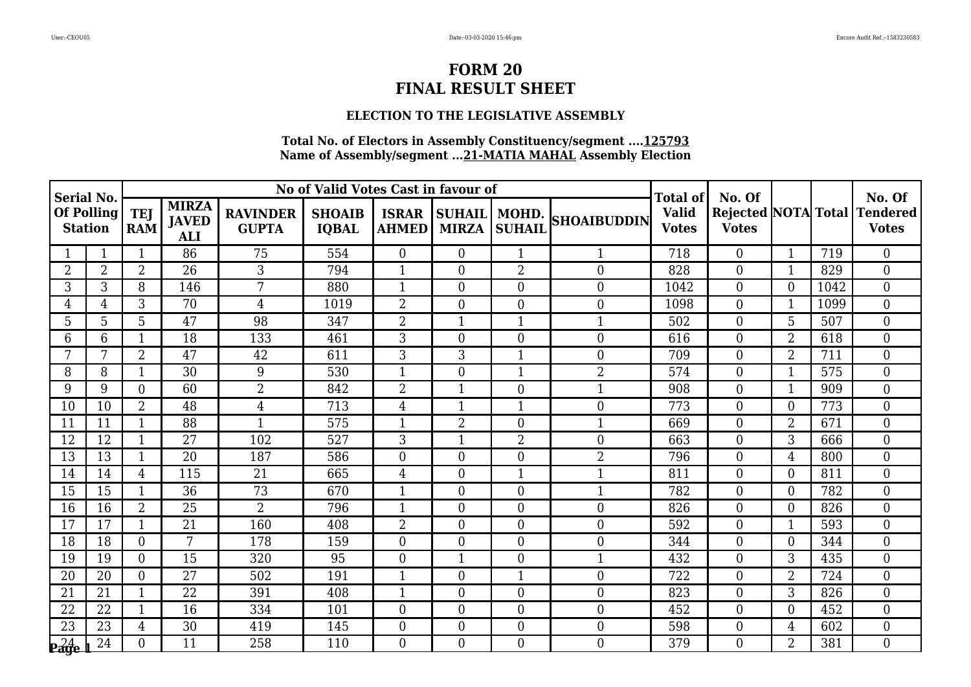#### **ELECTION TO THE LEGISLATIVE ASSEMBLY**

| Serial No.                   |                |                          |                                            |                                 | No of Valid Votes Cast in favour of |                              |                                |                  |                    | Total of                     | No. Of                                     |                |      | No. Of                   |
|------------------------------|----------------|--------------------------|--------------------------------------------|---------------------------------|-------------------------------------|------------------------------|--------------------------------|------------------|--------------------|------------------------------|--------------------------------------------|----------------|------|--------------------------|
| Of Polling<br><b>Station</b> |                | <b>TEJ</b><br><b>RAM</b> | <b>MIRZA</b><br><b>JAVED</b><br><b>ALI</b> | <b>RAVINDER</b><br><b>GUPTA</b> | <b>SHOAIB</b><br><b>IQBAL</b>       | <b>ISRAR</b><br><b>AHMED</b> | SUHAIL   MOHD.<br><b>MIRZA</b> | <b>SUHAIL</b>    | <b>SHOAIBUDDIN</b> | <b>Valid</b><br><b>Votes</b> | <b>Rejected NOTA Total</b><br><b>Votes</b> |                |      | Tendered<br><b>Votes</b> |
|                              | 1              | $\mathbf{1}$             | 86                                         | 75                              | 554                                 | $\overline{0}$               | $\theta$                       | $\mathbf{1}$     |                    | 718                          | $\Omega$                                   | $\mathbf{1}$   | 719  | $\overline{0}$           |
| 2                            | $\overline{2}$ | $\overline{2}$           | 26                                         | 3                               | 794                                 | $\mathbf{1}$                 | $\overline{0}$                 | $\overline{2}$   | $\overline{0}$     | 828                          | $\overline{0}$                             | 1              | 829  | $\mathbf{0}$             |
| 3                            | 3              | 8                        | 146                                        | 7                               | 880                                 | $\mathbf{1}$                 | $\boldsymbol{0}$               | $\overline{0}$   | $\overline{0}$     | 1042                         | $\overline{0}$                             | $\overline{0}$ | 1042 | $\boldsymbol{0}$         |
| 4                            | 4              | 3                        | 70                                         | $\overline{4}$                  | 1019                                | $\overline{2}$               | $\overline{0}$                 | $\boldsymbol{0}$ | $\boldsymbol{0}$   | 1098                         | $\overline{0}$                             | 1              | 1099 | $\boldsymbol{0}$         |
| 5                            | 5              | 5                        | 47                                         | 98                              | 347                                 | $\overline{2}$               | $\mathbf 1$                    | $\mathbf{1}$     |                    | 502                          | $\overline{0}$                             | 5              | 507  | $\mathbf{0}$             |
| 6                            | 6              | $\mathbf{1}$             | 18                                         | 133                             | 461                                 | 3                            | $\boldsymbol{0}$               | $\overline{0}$   | $\overline{0}$     | 616                          | $\overline{0}$                             | $\overline{2}$ | 618  | $\mathbf{0}$             |
| 7                            | 7              | $\overline{2}$           | 47                                         | 42                              | 611                                 | 3                            | 3                              | $\mathbf{1}$     | $\overline{0}$     | 709                          | $\Omega$                                   | $\overline{2}$ | 711  | $\overline{0}$           |
| 8                            | 8              | $\mathbf 1$              | 30                                         | 9                               | 530                                 | $\mathbf{1}$                 | $\overline{0}$                 | $\mathbf{1}$     | $\overline{2}$     | 574                          | $\overline{0}$                             | 1              | 575  | $\mathbf{0}$             |
| 9                            | 9              | $\overline{0}$           | 60                                         | $\overline{2}$                  | 842                                 | $\overline{2}$               | $\mathbf{1}$                   | $\boldsymbol{0}$ |                    | 908                          | $\overline{0}$                             |                | 909  | $\overline{0}$           |
| 10                           | 10             | 2                        | 48                                         | 4                               | 713                                 | 4                            | $\mathbf{1}$                   | $\mathbf{1}$     | $\overline{0}$     | 773                          | $\overline{0}$                             | $\theta$       | 773  | $\overline{0}$           |
| 11                           | 11             | 1                        | 88                                         | 1                               | 575                                 | $\mathbf{1}$                 | $\overline{2}$                 | $\boldsymbol{0}$ |                    | 669                          | $\overline{0}$                             | $\overline{2}$ | 671  | $\mathbf{0}$             |
| 12                           | 12             | $\mathbf{1}$             | 27                                         | 102                             | 527                                 | $\overline{3}$               | $\mathbf{1}$                   | $\overline{2}$   | $\overline{0}$     | 663                          | $\overline{0}$                             | 3              | 666  | $\overline{0}$           |
| 13                           | 13             | $\mathbf{1}$             | 20                                         | 187                             | 586                                 | $\overline{0}$               | $\overline{0}$                 | $\overline{0}$   | $\overline{2}$     | 796                          | $\overline{0}$                             | 4              | 800  | $\mathbf{0}$             |
| 14                           | 14             | $\overline{4}$           | 115                                        | 21                              | 665                                 | $\overline{4}$               | $\overline{0}$                 | $\mathbf{1}$     |                    | 811                          | $\overline{0}$                             | $\Omega$       | 811  | $\boldsymbol{0}$         |
| 15                           | 15             | $\mathbf 1$              | 36                                         | $\overline{73}$                 | 670                                 | $\mathbf{1}$                 | $\boldsymbol{0}$               | $\boldsymbol{0}$ |                    | 782                          | $\overline{0}$                             | $\theta$       | 782  | $\overline{0}$           |
| 16                           | 16             | $\overline{2}$           | 25                                         | $\overline{2}$                  | 796                                 | $\mathbf{1}$                 | $\overline{0}$                 | $\boldsymbol{0}$ | $\boldsymbol{0}$   | 826                          | $\overline{0}$                             | $\overline{0}$ | 826  | $\boldsymbol{0}$         |
| 17                           | 17             | $\mathbf{1}$             | 21                                         | 160                             | 408                                 | $\overline{2}$               | $\boldsymbol{0}$               | $\overline{0}$   | $\overline{0}$     | 592                          | $\overline{0}$                             | 1              | 593  | $\boldsymbol{0}$         |
| 18                           | 18             | $\overline{0}$           | $\overline{7}$                             | 178                             | 159                                 | $\overline{0}$               | $\theta$                       | $\overline{0}$   | $\overline{0}$     | 344                          | $\Omega$                                   | $\theta$       | 344  | $\overline{0}$           |
| 19                           | 19             | $\Omega$                 | 15                                         | 320                             | 95                                  | $\overline{0}$               | $\mathbf{1}$                   | $\boldsymbol{0}$ |                    | 432                          | $\overline{0}$                             | 3              | 435  | $\boldsymbol{0}$         |
| 20                           | 20             | $\Omega$                 | 27                                         | 502                             | 191                                 | $\mathbf{1}$                 | $\boldsymbol{0}$               | $\mathbf{1}$     | $\overline{0}$     | 722                          | $\overline{0}$                             | $\overline{2}$ | 724  | $\boldsymbol{0}$         |
| 21                           | 21             | 1                        | 22                                         | 391                             | 408                                 | $\mathbf{1}$                 | $\overline{0}$                 | $\overline{0}$   | $\overline{0}$     | 823                          | $\Omega$                                   | 3              | 826  | $\overline{0}$           |
| 22                           | 22             | $\mathbf{1}$             | 16                                         | 334                             | 101                                 | $\boldsymbol{0}$             | $\boldsymbol{0}$               | $\boldsymbol{0}$ | $\boldsymbol{0}$   | 452                          | $\overline{0}$                             | $\theta$       | 452  | $\mathbf{0}$             |
| 23                           | 23             | $\overline{4}$           | $\overline{30}$                            | 419                             | 145                                 | $\overline{0}$               | $\boldsymbol{0}$               | $\boldsymbol{0}$ | $\overline{0}$     | 598                          | $\overline{0}$                             | 4              | 602  | $\mathbf{0}$             |
| 24                           | 24             | $\Omega$                 | 11                                         | 258                             | 110                                 | $\Omega$                     | $\theta$                       | $\Omega$         | $\overline{0}$     | 379                          | $\Omega$                                   | $\overline{2}$ | 381  | $\overline{0}$           |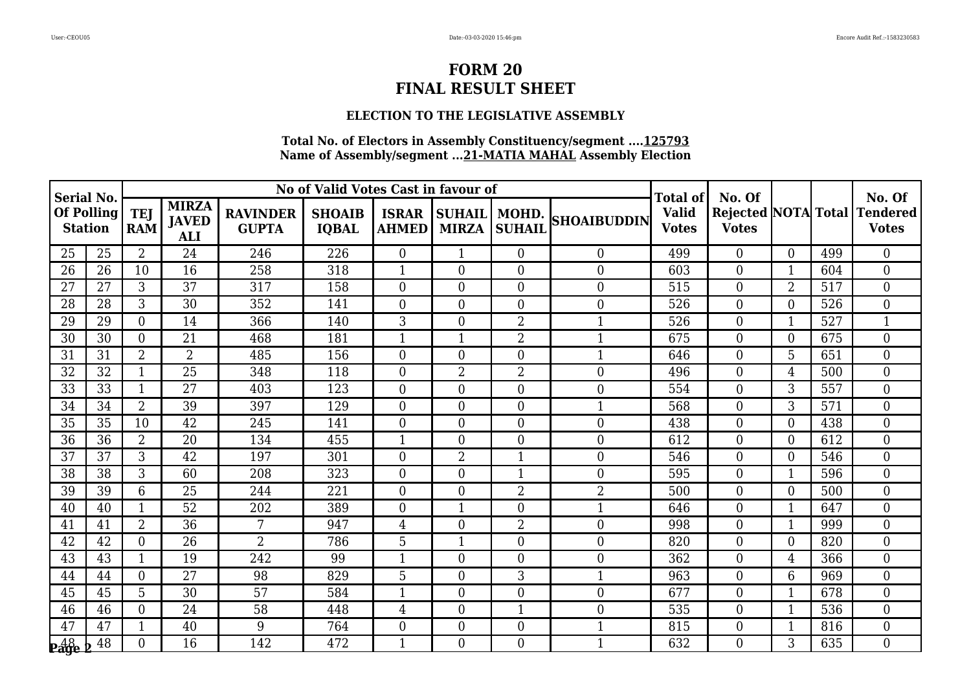### **ELECTION TO THE LEGISLATIVE ASSEMBLY**

| Serial No.                   |                 |                                                                        |                 |                                 | No of Valid Votes Cast in favour of |                  |                                                                |                  |                                     | Total of | No. Of                                     |                |     | No. Of                          |
|------------------------------|-----------------|------------------------------------------------------------------------|-----------------|---------------------------------|-------------------------------------|------------------|----------------------------------------------------------------|------------------|-------------------------------------|----------|--------------------------------------------|----------------|-----|---------------------------------|
| Of Polling<br><b>Station</b> |                 | <b>MIRZA</b><br><b>TEJ</b><br><b>JAVED</b><br><b>RAM</b><br><b>ALI</b> |                 | <b>RAVINDER</b><br><b>GUPTA</b> | <b>SHOAIB</b><br><b>IQBAL</b>       |                  | SUHAIL   MOHD.<br><b>ISRAR</b><br><b>AHMED</b><br><b>MIRZA</b> |                  | <b>SHOAIBUDDIN</b><br><b>SUHAIL</b> |          | <b>Rejected NOTA Total</b><br><b>Votes</b> |                |     | <b>Tendered</b><br><b>Votes</b> |
| 25                           | 25              | $\overline{2}$                                                         | 24              | 246                             | 226                                 | $\overline{0}$   | $\mathbf{1}$                                                   | $\overline{0}$   | $\Omega$                            | 499      | $\Omega$                                   | $\theta$       | 499 | $\overline{0}$                  |
| 26                           | 26              | 10                                                                     | 16              | 258                             | 318                                 | $\mathbf{1}$     | $\overline{0}$                                                 | $\boldsymbol{0}$ | $\overline{0}$                      | 603      | $\overline{0}$                             | 1              | 604 | $\mathbf{0}$                    |
| 27                           | 27              | 3                                                                      | 37              | 317                             | 158                                 | $\overline{0}$   | $\boldsymbol{0}$                                               | $\overline{0}$   | $\overline{0}$                      | 515      | $\overline{0}$                             | $\overline{2}$ | 517 | $\boldsymbol{0}$                |
| 28                           | 28              | 3                                                                      | 30              | 352                             | 141                                 | $\overline{0}$   | $\overline{0}$                                                 | $\boldsymbol{0}$ | $\overline{0}$                      | 526      | $\Omega$                                   | $\theta$       | 526 | $\mathbf{0}$                    |
| 29                           | 29              | $\overline{0}$                                                         | 14              | 366                             | 140                                 | 3                | $\boldsymbol{0}$                                               | 2                |                                     | 526      | $\overline{0}$                             |                | 527 | 1                               |
| 30                           | 30              | $\overline{0}$                                                         | 21              | 468                             | 181                                 | $\mathbf{1}$     | $\mathbf{1}$                                                   | $\overline{2}$   |                                     | 675      | $\overline{0}$                             | $\overline{0}$ | 675 | $\mathbf{0}$                    |
| 31                           | 31              | $\overline{2}$                                                         | $\overline{2}$  | 485                             | 156                                 | $\overline{0}$   | $\theta$                                                       | $\overline{0}$   |                                     | 646      | $\Omega$                                   | 5              | 651 | $\overline{0}$                  |
| 32                           | 32              | $\mathbf{1}$                                                           | 25              | 348                             | 118                                 | $\overline{0}$   | $\overline{2}$                                                 | $\overline{2}$   | $\overline{0}$                      | 496      | $\Omega$                                   | 4              | 500 | $\mathbf{0}$                    |
| 33                           | $\overline{33}$ | $\mathbf{1}$                                                           | 27              | 403                             | 123                                 | $\overline{0}$   | $\mathbf{0}$                                                   | $\overline{0}$   | $\overline{0}$                      | 554      | $\overline{0}$                             | 3              | 557 | $\overline{0}$                  |
| 34                           | 34              | $\overline{2}$                                                         | 39              | 397                             | 129                                 | $\overline{0}$   | $\overline{0}$                                                 | $\overline{0}$   | 1                                   | 568      | $\Omega$                                   | 3              | 571 | $\overline{0}$                  |
| 35                           | 35              | 10                                                                     | 42              | 245                             | 141                                 | $\overline{0}$   | $\overline{0}$                                                 | $\boldsymbol{0}$ | $\overline{0}$                      | 438      | $\overline{0}$                             | $\theta$       | 438 | $\mathbf{0}$                    |
| 36                           | 36              | $\overline{2}$                                                         | 20              | 134                             | 455                                 | $\mathbf{1}$     | $\overline{0}$                                                 | $\boldsymbol{0}$ | $\overline{0}$                      | 612      | $\overline{0}$                             | $\overline{0}$ | 612 | $\overline{0}$                  |
| 37                           | 37              | 3                                                                      | 42              | 197                             | 301                                 | $\overline{0}$   | $\overline{2}$                                                 | $\mathbf{1}$     | $\overline{0}$                      | 546      | $\Omega$                                   | $\theta$       | 546 | $\mathbf{0}$                    |
| 38                           | 38              | 3                                                                      | 60              | 208                             | 323                                 | $\overline{0}$   | $\overline{0}$                                                 | $\mathbf{1}$     | $\overline{0}$                      | 595      | $\Omega$                                   |                | 596 | $\mathbf{0}$                    |
| 39                           | 39              | 6                                                                      | 25              | 244                             | 221                                 | $\boldsymbol{0}$ | $\mathbf{0}$                                                   | $\overline{2}$   | $\overline{2}$                      | 500      | $\overline{0}$                             | $\theta$       | 500 | $\overline{0}$                  |
| 40                           | 40              | $\mathbf{1}$                                                           | 52              | 202                             | 389                                 | $\overline{0}$   | $\mathbf{1}$                                                   | $\overline{0}$   | 1                                   | 646      | $\overline{0}$                             | 1              | 647 | $\boldsymbol{0}$                |
| 41                           | 41              | $\overline{2}$                                                         | 36              | 7                               | 947                                 | $\overline{4}$   | $\boldsymbol{0}$                                               | $\overline{2}$   | $\overline{0}$                      | 998      | $\overline{0}$                             | 1              | 999 | $\mathbf{0}$                    |
| 42                           | 42              | $\Omega$                                                               | $\overline{26}$ | $\overline{2}$                  | 786                                 | $\overline{5}$   | $\mathbf{1}$                                                   | $\overline{0}$   | $\overline{0}$                      | 820      | $\Omega$                                   | $\theta$       | 820 | $\overline{0}$                  |
| 43                           | 43              | 1                                                                      | 19              | 242                             | 99                                  | $\mathbf{1}$     | $\overline{0}$                                                 | $\boldsymbol{0}$ | $\overline{0}$                      | 362      | $\overline{0}$                             | 4              | 366 | $\mathbf{0}$                    |
| 44                           | 44              | $\Omega$                                                               | 27              | 98                              | 829                                 | 5                | $\boldsymbol{0}$                                               | 3                |                                     | 963      | $\overline{0}$                             | 6              | 969 | $\mathbf{0}$                    |
| 45                           | 45              | 5                                                                      | 30              | 57                              | 584                                 | $\mathbf{1}$     | $\overline{0}$                                                 | $\boldsymbol{0}$ | $\overline{0}$                      | 677      | $\Omega$                                   | $\mathbf 1$    | 678 | $\overline{0}$                  |
| 46                           | 46              | $\overline{0}$                                                         | 24              | 58                              | 448                                 | $\overline{4}$   | $\boldsymbol{0}$                                               | $\mathbf{1}$     | $\overline{0}$                      | 535      | $\overline{0}$                             | 1              | 536 | $\mathbf{0}$                    |
| 47                           | 47              | $\mathbf{1}$                                                           | 40              | 9                               | 764                                 | $\overline{0}$   | $\boldsymbol{0}$                                               | $\overline{0}$   | $\mathbf{1}$                        | 815      | $\overline{0}$                             | $\mathbf{1}$   | 816 | $\mathbf{0}$                    |
| $P_{\text{age}}^{48}$        | 48              | $\Omega$                                                               | 16              | 142                             | 472                                 | $\mathbf{1}$     | $\Omega$                                                       | $\theta$         | 1                                   | 632      | $\Omega$                                   | 3              | 635 | $\overline{0}$                  |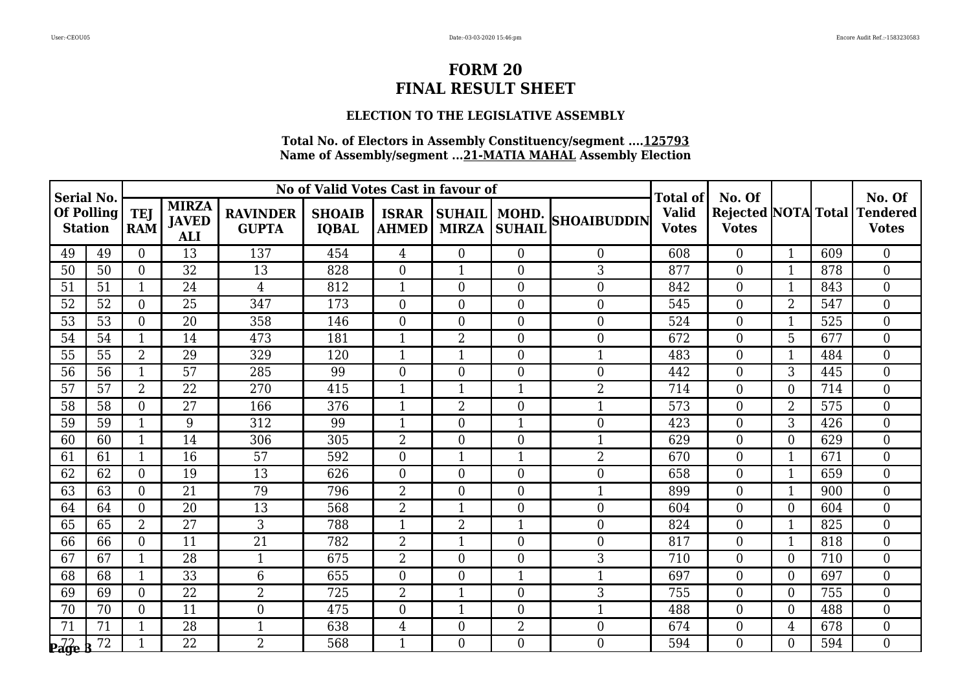### **ELECTION TO THE LEGISLATIVE ASSEMBLY**

| Serial No.                   |                 |                          |                                            |                                 | No of Valid Votes Cast in favour of |                              |                                                        |                  |                    | Total of                     | No. Of                                     |                |     | No. Of                          |
|------------------------------|-----------------|--------------------------|--------------------------------------------|---------------------------------|-------------------------------------|------------------------------|--------------------------------------------------------|------------------|--------------------|------------------------------|--------------------------------------------|----------------|-----|---------------------------------|
| Of Polling<br><b>Station</b> |                 | <b>TEJ</b><br><b>RAM</b> | <b>MIRZA</b><br><b>JAVED</b><br><b>ALI</b> | <b>RAVINDER</b><br><b>GUPTA</b> | <b>SHOAIB</b><br><b>IQBAL</b>       | <b>ISRAR</b><br><b>AHMED</b> | <b>SUHAIL   MOHD.</b><br><b>SUHAIL</b><br><b>MIRZA</b> |                  | <b>SHOAIBUDDIN</b> | <b>Valid</b><br><b>Votes</b> | <b>Rejected NOTA Total</b><br><b>Votes</b> |                |     | <b>Tendered</b><br><b>Votes</b> |
| 49                           | 49              | $\Omega$                 | 13                                         | 137                             | 454                                 | 4                            | $\Omega$                                               | $\overline{0}$   | $\Omega$           | 608                          | $\Omega$                                   | $\mathbf{1}$   | 609 | $\overline{0}$                  |
| 50                           | 50              | $\Omega$                 | 32                                         | 13                              | 828                                 | $\overline{0}$               | $\mathbf{1}$                                           | $\boldsymbol{0}$ | 3                  | 877                          | $\overline{0}$                             | 1              | 878 | $\overline{0}$                  |
| 51                           | 51              | $\mathbf{1}$             | 24                                         | $\overline{4}$                  | 812                                 | $\mathbf{1}$                 | $\boldsymbol{0}$                                       | $\overline{0}$   | $\overline{0}$     | 842                          | $\overline{0}$                             | $\mathbf{1}$   | 843 | $\boldsymbol{0}$                |
| 52                           | 52              | $\Omega$                 | $\overline{25}$                            | 347                             | 173                                 | $\overline{0}$               | $\overline{0}$                                         | $\boldsymbol{0}$ | $\overline{0}$     | 545                          | $\Omega$                                   | $\overline{2}$ | 547 | $\boldsymbol{0}$                |
| 53                           | 53              | $\overline{0}$           | 20                                         | 358                             | 146                                 | $\boldsymbol{0}$             | $\boldsymbol{0}$                                       | $\boldsymbol{0}$ | $\boldsymbol{0}$   | 524                          | $\overline{0}$                             |                | 525 | $\mathbf{0}$                    |
| 54                           | 54              | $\mathbf{1}$             | 14                                         | 473                             | 181                                 | $\mathbf{1}$                 | $\overline{2}$                                         | $\overline{0}$   | $\overline{0}$     | 672                          | $\overline{0}$                             | 5              | 677 | $\mathbf{0}$                    |
| 55                           | 55              | $\overline{2}$           | 29                                         | 329                             | 120                                 | $\mathbf{1}$                 | $\mathbf{1}$                                           | $\overline{0}$   | 1                  | 483                          | $\Omega$                                   | $\mathbf{1}$   | 484 | $\overline{0}$                  |
| 56                           | 56              | $\mathbf{1}$             | 57                                         | 285                             | 99                                  | $\overline{0}$               | $\overline{0}$                                         | $\boldsymbol{0}$ | $\overline{0}$     | 442                          | $\overline{0}$                             | 3              | 445 | $\mathbf{0}$                    |
| 57                           | 57              | $\overline{2}$           | $\overline{22}$                            | 270                             | 415                                 | $\mathbf{1}$                 | $\mathbf{1}$                                           | $\mathbf{1}$     | $\overline{2}$     | 714                          | $\overline{0}$                             | $\overline{0}$ | 714 | $\overline{0}$                  |
| 58                           | 58              | $\Omega$                 | 27                                         | 166                             | 376                                 | $\mathbf{1}$                 | $\overline{2}$                                         | $\boldsymbol{0}$ | 1                  | 573                          | $\overline{0}$                             | $\overline{2}$ | 575 | $\overline{0}$                  |
| 59                           | 59              | 1                        | 9                                          | 312                             | 99                                  | $\mathbf{1}$                 | $\overline{0}$                                         | $\mathbf{1}$     | $\boldsymbol{0}$   | 423                          | $\overline{0}$                             | 3              | 426 | $\mathbf{0}$                    |
| 60                           | 60              | $\mathbf{1}$             | 14                                         | 306                             | 305                                 | $\overline{2}$               | $\overline{0}$                                         | $\boldsymbol{0}$ |                    | 629                          | $\overline{0}$                             | $\overline{0}$ | 629 | $\overline{0}$                  |
| 61                           | 61              | 1                        | 16                                         | 57                              | 592                                 | $\overline{0}$               | $\mathbf{1}$                                           | $\mathbf{1}$     | $\overline{2}$     | 670                          | $\overline{0}$                             | $\mathbf{1}$   | 671 | $\mathbf{0}$                    |
| 62                           | 62              | $\Omega$                 | 19                                         | 13                              | 626                                 | $\overline{0}$               | $\overline{0}$                                         | $\overline{0}$   | $\overline{0}$     | 658                          | $\overline{0}$                             | 1              | 659 | $\mathbf{0}$                    |
| 63                           | 63              | $\Omega$                 | 21                                         | 79                              | 796                                 | $\overline{2}$               | $\mathbf{0}$                                           | $\boldsymbol{0}$ |                    | 899                          | $\overline{0}$                             | 1              | 900 | $\overline{0}$                  |
| 64                           | 64              | $\Omega$                 | 20                                         | 13                              | 568                                 | $\overline{2}$               | $\mathbf{1}$                                           | $\boldsymbol{0}$ | $\boldsymbol{0}$   | 604                          | $\overline{0}$                             | $\overline{0}$ | 604 | $\boldsymbol{0}$                |
| 65                           | 65              | $\overline{2}$           | 27                                         | 3                               | 788                                 | $\mathbf{1}$                 | $\overline{2}$                                         | $\mathbf{1}$     | $\boldsymbol{0}$   | 824                          | $\overline{0}$                             | $\mathbf 1$    | 825 | $\boldsymbol{0}$                |
| 66                           | 66              | $\Omega$                 | $\overline{11}$                            | $\overline{21}$                 | 782                                 | $\overline{2}$               | $\mathbf{1}$                                           | $\overline{0}$   | $\overline{0}$     | 817                          | $\Omega$                                   | $\mathbf{1}$   | 818 | $\overline{0}$                  |
| 67                           | 67              | 1                        | 28                                         | $\mathbf{1}$                    | 675                                 | $\overline{2}$               | $\overline{0}$                                         | $\boldsymbol{0}$ | 3                  | 710                          | $\overline{0}$                             | $\theta$       | 710 | $\mathbf{0}$                    |
| 68                           | 68              | $\mathbf{1}$             | 33                                         | $6\phantom{1}$                  | 655                                 | $\boldsymbol{0}$             | $\boldsymbol{0}$                                       | $\mathbf{1}$     |                    | 697                          | $\overline{0}$                             | $\theta$       | 697 | $\mathbf{0}$                    |
| 69                           | 69              | $\Omega$                 | 22                                         | $\overline{2}$                  | 725                                 | $\overline{2}$               | $\mathbf{1}$                                           | $\boldsymbol{0}$ | 3                  | 755                          | $\Omega$                                   | $\theta$       | 755 | $\overline{0}$                  |
| 70                           | 70              | $\Omega$                 | 11                                         | $\overline{0}$                  | 475                                 | $\boldsymbol{0}$             | $\mathbf{1}$                                           | $\boldsymbol{0}$ |                    | 488                          | $\overline{0}$                             | $\theta$       | 488 | $\mathbf{0}$                    |
| 71                           | $\overline{71}$ | $\mathbf{1}$             | $\overline{28}$                            | $\mathbf{1}$                    | 638                                 | $\overline{4}$               | $\boldsymbol{0}$                                       | $\overline{2}$   | $\overline{0}$     | 674                          | $\overline{0}$                             | 4              | 678 | $\mathbf{0}$                    |
| P <sub>age</sub>             | 72              | $\mathbf{1}$             | $\overline{22}$                            | $\overline{2}$                  | 568                                 | $\mathbf{1}$                 | $\Omega$                                               | $\Omega$         | $\overline{0}$     | 594                          | $\Omega$                                   | $\Omega$       | 594 | $\overline{0}$                  |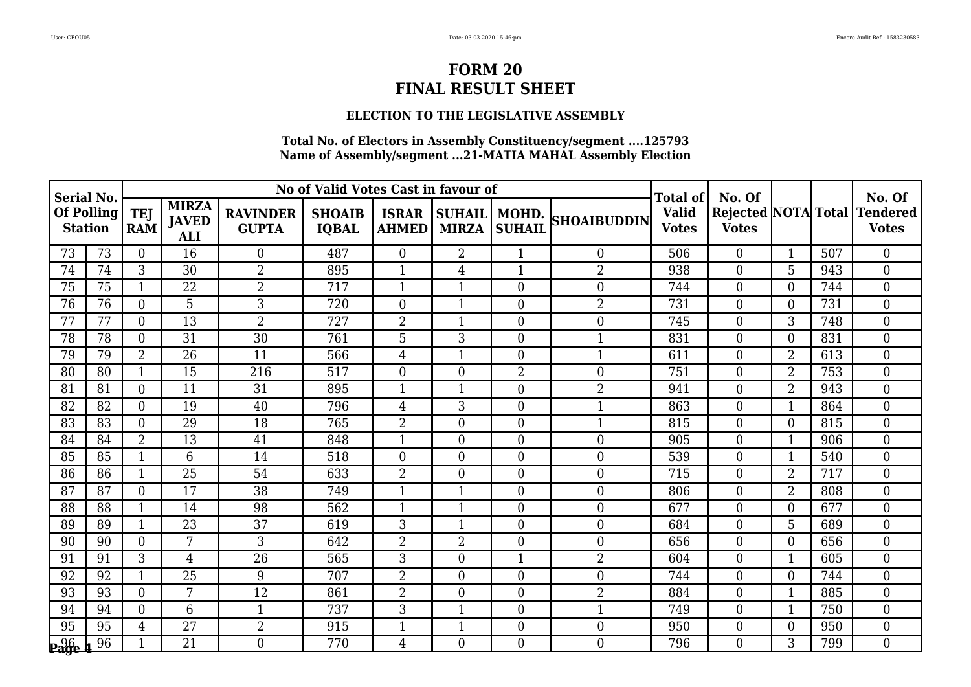### **ELECTION TO THE LEGISLATIVE ASSEMBLY**

| Serial No.                   |    |                          |                                            |                                 | No of Valid Votes Cast in favour of |                              |                                |                  |                    | Total of                     | No. Of                                     |                |     | No. Of                          |
|------------------------------|----|--------------------------|--------------------------------------------|---------------------------------|-------------------------------------|------------------------------|--------------------------------|------------------|--------------------|------------------------------|--------------------------------------------|----------------|-----|---------------------------------|
| Of Polling<br><b>Station</b> |    | <b>TEJ</b><br><b>RAM</b> | <b>MIRZA</b><br><b>JAVED</b><br><b>ALI</b> | <b>RAVINDER</b><br><b>GUPTA</b> | <b>SHOAIB</b><br><b>IQBAL</b>       | <b>ISRAR</b><br><b>AHMED</b> | SUHAIL   MOHD.<br><b>MIRZA</b> | <b>SUHAIL</b>    | <b>SHOAIBUDDIN</b> | <b>Valid</b><br><b>Votes</b> | <b>Rejected NOTA Total</b><br><b>Votes</b> |                |     | <b>Tendered</b><br><b>Votes</b> |
| 73                           | 73 | $\Omega$                 | 16                                         | $\overline{0}$                  | 487                                 | $\overline{0}$               | $\overline{2}$                 | $\mathbf{1}$     | $\overline{0}$     | 506                          | $\overline{0}$                             | $\mathbf{1}$   | 507 | $\overline{0}$                  |
| 74                           | 74 | 3                        | 30                                         | $\overline{2}$                  | 895                                 | $\mathbf{1}$                 | $\overline{4}$                 | $\mathbf{1}$     | $\overline{2}$     | 938                          | $\overline{0}$                             | 5              | 943 | $\overline{0}$                  |
| 75                           | 75 | $\mathbf{1}$             | 22                                         | $\overline{2}$                  | 717                                 | $\mathbf{1}$                 | 1                              | $\boldsymbol{0}$ | $\overline{0}$     | 744                          | $\overline{0}$                             | $\theta$       | 744 | $\mathbf{0}$                    |
| 76                           | 76 | $\Omega$                 | 5                                          | 3                               | 720                                 | $\boldsymbol{0}$             | $\mathbf{1}$                   | $\boldsymbol{0}$ | $\overline{2}$     | 731                          | $\Omega$                                   | $\Omega$       | 731 | $\overline{0}$                  |
| 77                           | 77 | $\theta$                 | 13                                         | 2                               | 727                                 | $\overline{2}$               | 1                              | $\boldsymbol{0}$ | $\overline{0}$     | 745                          | $\overline{0}$                             | 3              | 748 | $\mathbf{0}$                    |
| 78                           | 78 | $\Omega$                 | 31                                         | 30                              | 761                                 | 5                            | 3                              | $\overline{0}$   | 1                  | 831                          | $\overline{0}$                             | $\overline{0}$ | 831 | $\boldsymbol{0}$                |
| 79                           | 79 | $\overline{2}$           | 26                                         | 11                              | 566                                 | $\overline{4}$               | $\mathbf{1}$                   | $\boldsymbol{0}$ |                    | 611                          | $\overline{0}$                             | $\overline{2}$ | 613 | $\mathbf{0}$                    |
| 80                           | 80 | 1                        | 15                                         | 216                             | 517                                 | $\overline{0}$               | $\overline{0}$                 | $\overline{2}$   | $\overline{0}$     | 751                          | $\overline{0}$                             | $\overline{2}$ | 753 | $\overline{0}$                  |
| 81                           | 81 | $\overline{0}$           | $\overline{11}$                            | $\overline{31}$                 | 895                                 | $\mathbf{1}$                 | $\mathbf{1}$                   | $\overline{0}$   | $\overline{2}$     | 941                          | $\overline{0}$                             | $\overline{2}$ | 943 | $\overline{0}$                  |
| 82                           | 82 | $\Omega$                 | 19                                         | 40                              | 796                                 | $\overline{4}$               | 3                              | $\overline{0}$   | 1                  | 863                          | $\Omega$                                   | $\mathbf 1$    | 864 | $\overline{0}$                  |
| 83                           | 83 | $\Omega$                 | 29                                         | 18                              | 765                                 | $\overline{2}$               | $\overline{0}$                 | $\boldsymbol{0}$ |                    | 815                          | $\overline{0}$                             | $\theta$       | 815 | $\mathbf{0}$                    |
| 84                           | 84 | $\overline{2}$           | 13                                         | 41                              | 848                                 | $\mathbf{1}$                 | $\boldsymbol{0}$               | $\boldsymbol{0}$ | $\overline{0}$     | 905                          | $\overline{0}$                             | 1              | 906 | $\mathbf{0}$                    |
| 85                           | 85 | $\mathbf{1}$             | 6                                          | 14                              | 518                                 | $\overline{0}$               | $\overline{0}$                 | $\overline{0}$   | $\overline{0}$     | 539                          | $\overline{0}$                             | $\mathbf{1}$   | 540 | $\boldsymbol{0}$                |
| 86                           | 86 | 1                        | 25                                         | 54                              | 633                                 | $\overline{2}$               | $\overline{0}$                 | $\boldsymbol{0}$ | $\overline{0}$     | 715                          | $\overline{0}$                             | $\overline{2}$ | 717 | $\mathbf{0}$                    |
| 87                           | 87 | $\overline{0}$           | 17                                         | 38                              | 749                                 | $\mathbf{1}$                 | $\mathbf{1}$                   | $\boldsymbol{0}$ | $\overline{0}$     | 806                          | $\overline{0}$                             | $\overline{2}$ | 808 | $\overline{0}$                  |
| 88                           | 88 | $\mathbf{1}$             | 14                                         | 98                              | 562                                 | $\mathbf{1}$                 | $\mathbf{1}$                   | $\overline{0}$   | $\overline{0}$     | 677                          | $\overline{0}$                             | $\theta$       | 677 | $\mathbf{0}$                    |
| 89                           | 89 | $\mathbf{1}$             | 23                                         | 37                              | 619                                 | 3                            | $\mathbf{1}$                   | $\overline{0}$   | $\overline{0}$     | 684                          | $\Omega$                                   | 5              | 689 | $\overline{0}$                  |
| 90                           | 90 | $\Omega$                 | $\overline{7}$                             | 3                               | 642                                 | $\overline{2}$               | $\overline{2}$                 | $\overline{0}$   | $\overline{0}$     | 656                          | $\overline{0}$                             | $\theta$       | 656 | $\overline{0}$                  |
| 91                           | 91 | 3                        | 4                                          | 26                              | 565                                 | 3                            | $\overline{0}$                 | $\mathbf{1}$     | $\overline{2}$     | 604                          | $\overline{0}$                             |                | 605 | $\mathbf{0}$                    |
| 92                           | 92 | $\mathbf{1}$             | 25                                         | 9                               | 707                                 | $\overline{2}$               | $\boldsymbol{0}$               | $\boldsymbol{0}$ | $\boldsymbol{0}$   | 744                          | $\overline{0}$                             | $\theta$       | 744 | $\mathbf{0}$                    |
| 93                           | 93 | $\overline{0}$           | 7                                          | 12                              | 861                                 | $\overline{2}$               | $\overline{0}$                 | $\boldsymbol{0}$ | $\overline{2}$     | 884                          | $\overline{0}$                             | $\mathbf{1}$   | 885 | $\overline{0}$                  |
| 94                           | 94 | $\overline{0}$           | 6                                          | $\mathbf{1}$                    | 737                                 | 3                            | $\mathbf{1}$                   | $\boldsymbol{0}$ |                    | 749                          | $\overline{0}$                             | 1              | 750 | $\mathbf{0}$                    |
| 95                           | 95 | $\overline{4}$           | 27                                         | $\overline{2}$                  | 915                                 | $\mathbf{1}$                 | $\mathbf{1}$                   | $\overline{0}$   | $\overline{0}$     | 950                          | $\overline{0}$                             | $\overline{0}$ | 950 | $\mathbf{0}$                    |
| <b>Page</b>                  | 96 | $\mathbf{1}$             | 21                                         | $\overline{0}$                  | 770                                 | 4                            | $\Omega$                       | $\theta$         | $\overline{0}$     | 796                          | $\Omega$                                   | 3              | 799 | $\overline{0}$                  |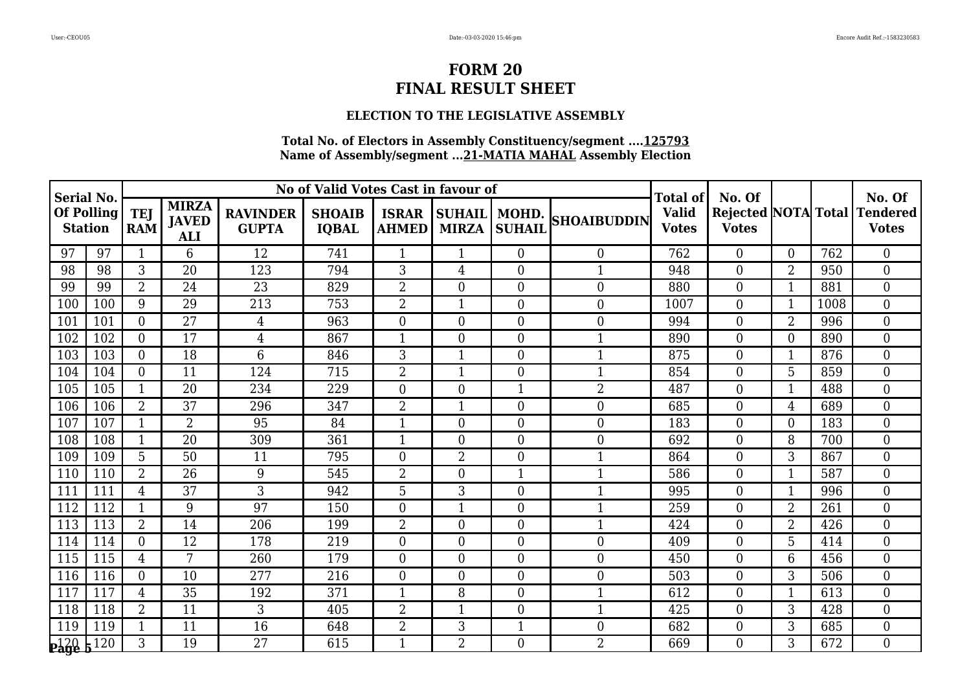### **ELECTION TO THE LEGISLATIVE ASSEMBLY**

| <b>Serial No.</b>            |     |                                                                        |                 |                                 | No of Valid Votes Cast in favour of |                              |                               |                        |                    | Total of                     | No. Of         |                |      | No. Of                                       |
|------------------------------|-----|------------------------------------------------------------------------|-----------------|---------------------------------|-------------------------------------|------------------------------|-------------------------------|------------------------|--------------------|------------------------------|----------------|----------------|------|----------------------------------------------|
| Of Polling<br><b>Station</b> |     | <b>MIRZA</b><br><b>TEJ</b><br><b>JAVED</b><br><b>RAM</b><br><b>ALI</b> |                 | <b>RAVINDER</b><br><b>GUPTA</b> | <b>SHOAIB</b><br><b>IQBAL</b>       | <b>ISRAR</b><br><b>AHMED</b> | <b>SUHAIL</b><br><b>MIRZA</b> | MOHD.<br><b>SUHAIL</b> | <b>SHOAIBUDDIN</b> | <b>Valid</b><br><b>Votes</b> | <b>Votes</b>   |                |      | Rejected NOTA Total Tendered<br><b>Votes</b> |
| 97                           | 97  |                                                                        | 6               | 12                              | 741                                 | $\mathbf{1}$                 | $\mathbf{1}$                  | $\overline{0}$         | $\theta$           | 762                          | $\overline{0}$ | $\Omega$       | 762  | $\theta$                                     |
| 98                           | 98  | 3                                                                      | 20              | 123                             | 794                                 | 3                            | $\overline{4}$                | $\overline{0}$         | $\mathbf{1}$       | 948                          | $\Omega$       | $\overline{2}$ | 950  | $\boldsymbol{0}$                             |
| 99                           | 99  | 2                                                                      | 24              | 23                              | 829                                 | $\overline{2}$               | $\overline{0}$                | $\overline{0}$         | $\boldsymbol{0}$   | 880                          | $\overline{0}$ | $\mathbf{1}$   | 881  | $\boldsymbol{0}$                             |
| 100                          | 100 | 9                                                                      | 29              | 213                             | 753                                 | $\overline{2}$               | $\mathbf{1}$                  | $\boldsymbol{0}$       | $\boldsymbol{0}$   | 1007                         | $\Omega$       | $\mathbf{1}$   | 1008 | $\overline{0}$                               |
| 101                          | 101 | $\Omega$                                                               | 27              | 4                               | 963                                 | $\boldsymbol{0}$             | $\overline{0}$                | $\boldsymbol{0}$       | $\boldsymbol{0}$   | 994                          | $\overline{0}$ | $\overline{2}$ | 996  | $\boldsymbol{0}$                             |
| 102                          | 102 | $\overline{0}$                                                         | 17              | $\overline{4}$                  | 867                                 | $\mathbf{1}$                 | $\overline{0}$                | $\boldsymbol{0}$       | $\mathbf{1}$       | 890                          | $\overline{0}$ | $\overline{0}$ | 890  | $\overline{0}$                               |
| 103                          | 103 | $\Omega$                                                               | 18              | 6                               | 846                                 | 3                            | $\mathbf{1}$                  | $\boldsymbol{0}$       | $\mathbf{1}$       | 875                          | $\overline{0}$ | $\mathbf{1}$   | 876  | $\overline{0}$                               |
| 104                          | 104 | $\Omega$                                                               | 11              | 124                             | 715                                 | $\overline{2}$               | $\mathbf{1}$                  | $\overline{0}$         | 1                  | 854                          | $\Omega$       | 5              | 859  | $\overline{0}$                               |
| 105                          | 105 | $\mathbf 1$                                                            | 20              | 234                             | 229                                 | $\boldsymbol{0}$             | $\overline{0}$                | $\mathbf{1}$           | $\overline{2}$     | 487                          | $\overline{0}$ | $\mathbf{1}$   | 488  | $\mathbf{0}$                                 |
| 106                          | 106 | $\overline{2}$                                                         | 37              | 296                             | 347                                 | $\overline{2}$               | 1                             | $\overline{0}$         | $\overline{0}$     | 685                          | $\Omega$       | 4              | 689  | $\boldsymbol{0}$                             |
| 107                          | 107 |                                                                        | $\overline{2}$  | 95                              | 84                                  | $\mathbf{1}$                 | $\overline{0}$                | $\overline{0}$         | $\boldsymbol{0}$   | 183                          | $\overline{0}$ | $\Omega$       | 183  | $\boldsymbol{0}$                             |
| 108                          | 108 |                                                                        | 20              | 309                             | 361                                 | $\mathbf{1}$                 | $\overline{0}$                | $\boldsymbol{0}$       | $\boldsymbol{0}$   | 692                          | $\overline{0}$ | 8              | 700  | $\mathbf{0}$                                 |
| 109                          | 109 | 5 <sup>2</sup>                                                         | 50              | 11                              | 795                                 | $\boldsymbol{0}$             | $\overline{2}$                | $\overline{0}$         | $\mathbf{1}$       | 864                          | $\Omega$       | 3              | 867  | $\boldsymbol{0}$                             |
| 110                          | 110 | $\overline{2}$                                                         | 26              | 9                               | 545                                 | $\overline{2}$               | $\overline{0}$                | $\mathbf 1$            | 1                  | 586                          | $\Omega$       | $\mathbf{1}$   | 587  | $\boldsymbol{0}$                             |
| 111                          | 111 | 4                                                                      | 37              | 3                               | 942                                 | 5                            | 3                             | $\boldsymbol{0}$       |                    | 995                          | $\overline{0}$ |                | 996  | $\mathbf{0}$                                 |
| 112                          | 112 |                                                                        | 9               | 97                              | 150                                 | $\boldsymbol{0}$             | $\mathbf{1}$                  | $\boldsymbol{0}$       |                    | 259                          | $\overline{0}$ | $\overline{2}$ | 261  | $\boldsymbol{0}$                             |
| 113                          | 113 | $\overline{2}$                                                         | 14              | 206                             | 199                                 | $\overline{2}$               | $\boldsymbol{0}$              | $\overline{0}$         | $\mathbf{1}$       | 424                          | $\overline{0}$ | $\overline{2}$ | 426  | $\boldsymbol{0}$                             |
| 114                          | 114 | $\overline{0}$                                                         | $\overline{12}$ | 178                             | 219                                 | $\overline{0}$               | $\overline{0}$                | $\overline{0}$         | $\overline{0}$     | 409                          | $\overline{0}$ | 5              | 414  | $\overline{0}$                               |
| 115                          | 115 | $\overline{4}$                                                         | $\overline{7}$  | 260                             | 179                                 | $\boldsymbol{0}$             | $\overline{0}$                | $\overline{0}$         | $\boldsymbol{0}$   | 450                          | $\Omega$       | 6              | 456  | $\boldsymbol{0}$                             |
| 116                          | 116 | $\Omega$                                                               | 10              | 277                             | 216                                 | $\boldsymbol{0}$             | $\boldsymbol{0}$              | $\boldsymbol{0}$       | $\boldsymbol{0}$   | 503                          | $\overline{0}$ | 3              | 506  | $\boldsymbol{0}$                             |
| 117                          | 117 | 4                                                                      | 35              | 192                             | 371                                 | $\mathbf{1}$                 | 8                             | $\boldsymbol{0}$       |                    | 612                          | $\overline{0}$ | $\mathbf{1}$   | 613  | $\overline{0}$                               |
| 118                          | 118 | $\overline{2}$                                                         | 11              | 3                               | 405                                 | $\overline{2}$               | $\mathbf{1}$                  | $\overline{0}$         |                    | 425                          | $\overline{0}$ | 3              | 428  | $\boldsymbol{0}$                             |
| 119                          | 119 | $\mathbf{1}$                                                           | 11              | 16                              | 648                                 | $\overline{2}$               | 3                             | $\mathbf{1}$           | $\boldsymbol{0}$   | 682                          | $\overline{0}$ | 3              | 685  | $\boldsymbol{0}$                             |
| $_{\rm{Page\,}b}^{\rm{120}}$ | 120 | 3                                                                      | 19              | 27                              | 615                                 | $\mathbf{1}$                 | $\overline{2}$                | $\overline{0}$         | $\overline{2}$     | 669                          | $\Omega$       | 3              | 672  | $\theta$                                     |